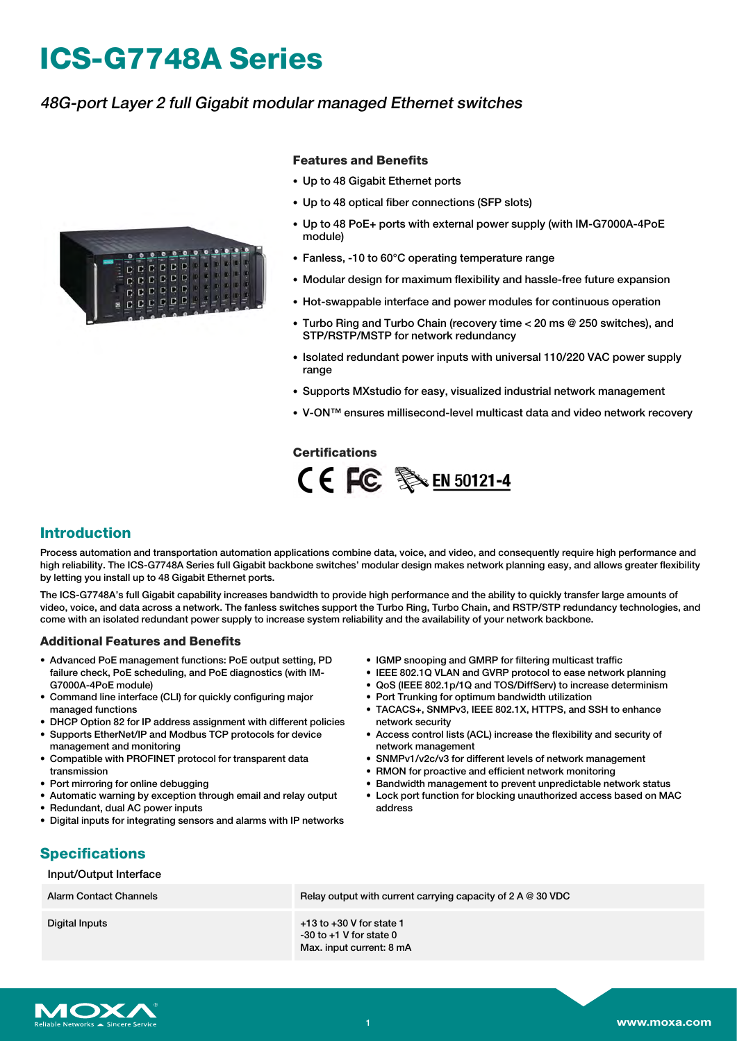# **ICS-G7748A Series**

## 48G-port Layer 2 full Gigabit modular managed Ethernet switches



#### **Features and Benefits**

- Up to 48 Gigabit Ethernet ports
- Up to 48 optical fiber connections (SFP slots)
- Up to 48 PoE+ ports with external power supply (with IM-G7000A-4PoE module)
- Fanless, -10 to 60°C operating temperature range
- Modular design for maximum flexibility and hassle-free future expansion
- Hot-swappable interface and power modules for continuous operation
- Turbo Ring and Turbo Chain (recovery time < 20 ms @ 250 switches), and STP/RSTP/MSTP for network redundancy
- Isolated redundant power inputs with universal 110/220 VAC power supply range
- Supports MXstudio for easy, visualized industrial network management
- V-ON™ ensures millisecond-level multicast data and video network recovery

#### **Certifications**



#### **Introduction**

Process automation and transportation automation applications combine data, voice, and video, and consequently require high performance and high reliability. The ICS-G7748A Series full Gigabit backbone switches' modular design makes network planning easy, and allows greater flexibility by letting you install up to 48 Gigabit Ethernet ports.

The ICS-G7748A's full Gigabit capability increases bandwidth to provide high performance and the ability to quickly transfer large amounts of video, voice, and data across a network. The fanless switches support the Turbo Ring, Turbo Chain, and RSTP/STP redundancy technologies, and come with an isolated redundant power supply to increase system reliability and the availability of your network backbone.

#### **Additional Features and Benefits**

- Advanced PoE management functions: PoE output setting, PD failure check, PoE scheduling, and PoE diagnostics (with IM-G7000A-4PoE module)
- Command line interface (CLI) for quickly configuring major managed functions
- DHCP Option 82 for IP address assignment with different policies
- Supports EtherNet/IP and Modbus TCP protocols for device management and monitoring
- Compatible with PROFINET protocol for transparent data transmission
- Port mirroring for online debugging
- Automatic warning by exception through email and relay output
- Redundant, dual AC power inputs
- Digital inputs for integrating sensors and alarms with IP networks
- IGMP snooping and GMRP for filtering multicast traffic
- IEEE 802.1Q VLAN and GVRP protocol to ease network planning
- QoS (IEEE 802.1p/1Q and TOS/DiffServ) to increase determinism
- Port Trunking for optimum bandwidth utilization
- TACACS+, SNMPv3, IEEE 802.1X, HTTPS, and SSH to enhance network security
- Access control lists (ACL) increase the flexibility and security of network management
- SNMPv1/v2c/v3 for different levels of network management
- RMON for proactive and efficient network monitoring
- Bandwidth management to prevent unpredictable network status
- Lock port function for blocking unauthorized access based on MAC address

## **Specifications**

Input/Output Interface Alarm Contact Channels **Relay output with current carrying capacity of 2 A** @ 30 VDC Digital Inputs **+13** to +30 V for state 1 -30 to +1 V for state 0 Max. input current: 8 mA

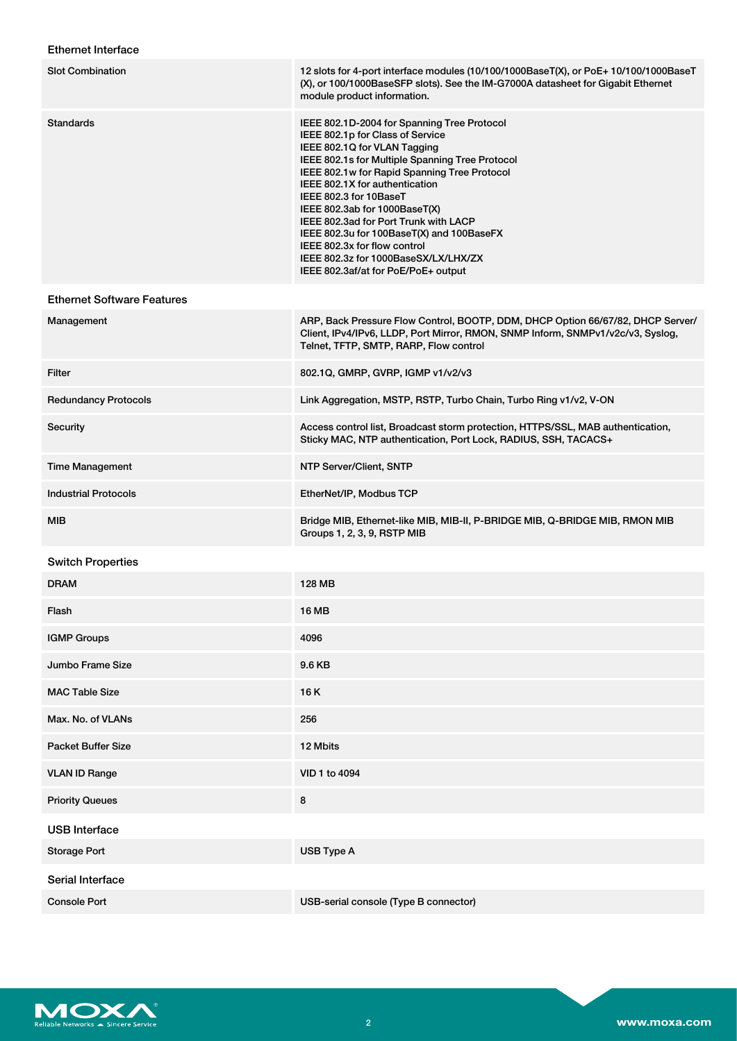### Ethernet Interface

| <b>Slot Combination</b>           | 12 slots for 4-port interface modules (10/100/1000BaseT(X), or PoE+ 10/100/1000BaseT<br>(X), or 100/1000BaseSFP slots). See the IM-G7000A datasheet for Gigabit Ethernet<br>module product information.                                                                                                                                                                                                                                                                                                              |
|-----------------------------------|----------------------------------------------------------------------------------------------------------------------------------------------------------------------------------------------------------------------------------------------------------------------------------------------------------------------------------------------------------------------------------------------------------------------------------------------------------------------------------------------------------------------|
| <b>Standards</b>                  | IEEE 802.1D-2004 for Spanning Tree Protocol<br>IEEE 802.1p for Class of Service<br>IEEE 802.1Q for VLAN Tagging<br>IEEE 802.1s for Multiple Spanning Tree Protocol<br>IEEE 802.1w for Rapid Spanning Tree Protocol<br>IEEE 802.1X for authentication<br>IEEE 802.3 for 10BaseT<br>IEEE 802.3ab for 1000BaseT(X)<br>IEEE 802.3ad for Port Trunk with LACP<br>IEEE 802.3u for 100BaseT(X) and 100BaseFX<br>IEEE 802.3x for flow control<br>IEEE 802.3z for 1000BaseSX/LX/LHX/ZX<br>IEEE 802.3af/at for PoE/PoE+ output |
| <b>Ethernet Software Features</b> |                                                                                                                                                                                                                                                                                                                                                                                                                                                                                                                      |
| Management                        | ARP, Back Pressure Flow Control, BOOTP, DDM, DHCP Option 66/67/82, DHCP Server/<br>Client, IPv4/IPv6, LLDP, Port Mirror, RMON, SNMP Inform, SNMPv1/v2c/v3, Syslog,<br>Telnet, TFTP, SMTP, RARP, Flow control                                                                                                                                                                                                                                                                                                         |
| <b>Filter</b>                     | 802.1Q, GMRP, GVRP, IGMP v1/v2/v3                                                                                                                                                                                                                                                                                                                                                                                                                                                                                    |
| <b>Redundancy Protocols</b>       | Link Aggregation, MSTP, RSTP, Turbo Chain, Turbo Ring v1/v2, V-ON                                                                                                                                                                                                                                                                                                                                                                                                                                                    |
| Security                          | Access control list, Broadcast storm protection, HTTPS/SSL, MAB authentication,<br>Sticky MAC, NTP authentication, Port Lock, RADIUS, SSH, TACACS+                                                                                                                                                                                                                                                                                                                                                                   |
| <b>Time Management</b>            | NTP Server/Client, SNTP                                                                                                                                                                                                                                                                                                                                                                                                                                                                                              |
| <b>Industrial Protocols</b>       | EtherNet/IP, Modbus TCP                                                                                                                                                                                                                                                                                                                                                                                                                                                                                              |
| MIB                               | Bridge MIB, Ethernet-like MIB, MIB-II, P-BRIDGE MIB, Q-BRIDGE MIB, RMON MIB<br>Groups 1, 2, 3, 9, RSTP MIB                                                                                                                                                                                                                                                                                                                                                                                                           |
| <b>Switch Properties</b>          |                                                                                                                                                                                                                                                                                                                                                                                                                                                                                                                      |
| <b>DRAM</b>                       | <b>128 MB</b>                                                                                                                                                                                                                                                                                                                                                                                                                                                                                                        |
| Flash                             | 16 MB                                                                                                                                                                                                                                                                                                                                                                                                                                                                                                                |
| <b>IGMP Groups</b>                | 4096                                                                                                                                                                                                                                                                                                                                                                                                                                                                                                                 |
| Jumbo Frame Size                  | 9.6 KB                                                                                                                                                                                                                                                                                                                                                                                                                                                                                                               |
| <b>MAC Table Size</b>             | 16 K                                                                                                                                                                                                                                                                                                                                                                                                                                                                                                                 |
| Max. No. of VLANs                 | 256                                                                                                                                                                                                                                                                                                                                                                                                                                                                                                                  |
| <b>Packet Buffer Size</b>         | 12 Mbits                                                                                                                                                                                                                                                                                                                                                                                                                                                                                                             |
| <b>VLAN ID Range</b>              | VID 1 to 4094                                                                                                                                                                                                                                                                                                                                                                                                                                                                                                        |
| <b>Priority Queues</b>            | 8                                                                                                                                                                                                                                                                                                                                                                                                                                                                                                                    |
| <b>USB</b> Interface              |                                                                                                                                                                                                                                                                                                                                                                                                                                                                                                                      |
| <b>Storage Port</b>               | USB Type A                                                                                                                                                                                                                                                                                                                                                                                                                                                                                                           |
| Serial Interface                  |                                                                                                                                                                                                                                                                                                                                                                                                                                                                                                                      |
| <b>Console Port</b>               | USB-serial console (Type B connector)                                                                                                                                                                                                                                                                                                                                                                                                                                                                                |

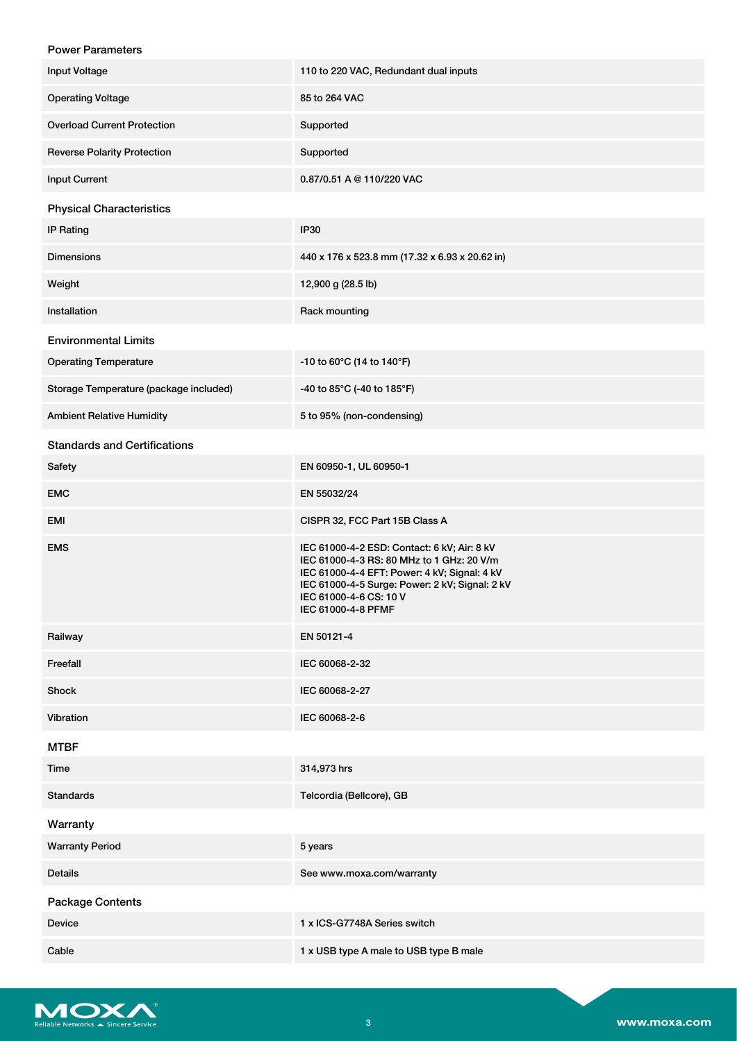| <b>Power Parameters</b>                |                                                                                                                                                                                                                                            |
|----------------------------------------|--------------------------------------------------------------------------------------------------------------------------------------------------------------------------------------------------------------------------------------------|
| <b>Input Voltage</b>                   | 110 to 220 VAC, Redundant dual inputs                                                                                                                                                                                                      |
| <b>Operating Voltage</b>               | 85 to 264 VAC                                                                                                                                                                                                                              |
| <b>Overload Current Protection</b>     | Supported                                                                                                                                                                                                                                  |
| <b>Reverse Polarity Protection</b>     | Supported                                                                                                                                                                                                                                  |
| <b>Input Current</b>                   | 0.87/0.51 A @ 110/220 VAC                                                                                                                                                                                                                  |
| <b>Physical Characteristics</b>        |                                                                                                                                                                                                                                            |
| <b>IP Rating</b>                       | <b>IP30</b>                                                                                                                                                                                                                                |
| <b>Dimensions</b>                      | 440 x 176 x 523.8 mm (17.32 x 6.93 x 20.62 in)                                                                                                                                                                                             |
| Weight                                 | 12,900 g (28.5 lb)                                                                                                                                                                                                                         |
| Installation                           | Rack mounting                                                                                                                                                                                                                              |
| <b>Environmental Limits</b>            |                                                                                                                                                                                                                                            |
| <b>Operating Temperature</b>           | -10 to 60°C (14 to 140°F)                                                                                                                                                                                                                  |
| Storage Temperature (package included) | -40 to 85°C (-40 to 185°F)                                                                                                                                                                                                                 |
| <b>Ambient Relative Humidity</b>       | 5 to 95% (non-condensing)                                                                                                                                                                                                                  |
| <b>Standards and Certifications</b>    |                                                                                                                                                                                                                                            |
| Safety                                 | EN 60950-1, UL 60950-1                                                                                                                                                                                                                     |
| EMC                                    | EN 55032/24                                                                                                                                                                                                                                |
| EMI                                    | CISPR 32, FCC Part 15B Class A                                                                                                                                                                                                             |
| <b>EMS</b>                             | IEC 61000-4-2 ESD: Contact: 6 kV; Air: 8 kV<br>IEC 61000-4-3 RS: 80 MHz to 1 GHz: 20 V/m<br>IEC 61000-4-4 EFT: Power: 4 kV; Signal: 4 kV<br>IEC 61000-4-5 Surge: Power: 2 kV; Signal: 2 kV<br>IEC 61000-4-6 CS: 10 V<br>IEC 61000-4-8 PFMF |
| Railway                                | EN 50121-4                                                                                                                                                                                                                                 |
| Freefall                               | IEC 60068-2-32                                                                                                                                                                                                                             |
| Shock                                  | IEC 60068-2-27                                                                                                                                                                                                                             |
| Vibration                              | IEC 60068-2-6                                                                                                                                                                                                                              |
| <b>MTBF</b>                            |                                                                                                                                                                                                                                            |
| Time                                   | 314,973 hrs                                                                                                                                                                                                                                |
| <b>Standards</b>                       | Telcordia (Bellcore), GB                                                                                                                                                                                                                   |
| Warranty                               |                                                                                                                                                                                                                                            |
| <b>Warranty Period</b>                 | 5 years                                                                                                                                                                                                                                    |
| <b>Details</b>                         | See www.moxa.com/warranty                                                                                                                                                                                                                  |
| <b>Package Contents</b>                |                                                                                                                                                                                                                                            |
| Device                                 | 1 x ICS-G7748A Series switch                                                                                                                                                                                                               |
| Cable                                  | 1 x USB type A male to USB type B male                                                                                                                                                                                                     |

Reliable Networks A Sincere Service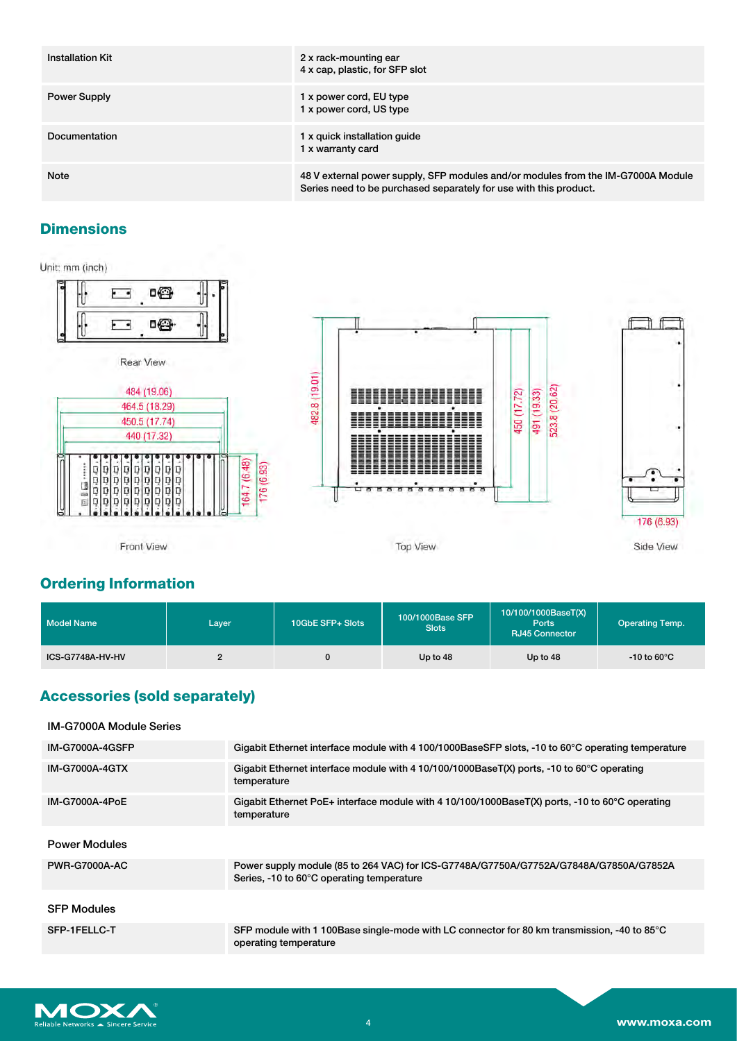| <b>Installation Kit</b> | 2 x rack-mounting ear<br>4 x cap, plastic, for SFP slot                                                                                               |
|-------------------------|-------------------------------------------------------------------------------------------------------------------------------------------------------|
| Power Supply            | 1 x power cord, EU type<br>1 x power cord, US type                                                                                                    |
| Documentation           | 1 x quick installation guide<br>1 x warranty card                                                                                                     |
| <b>Note</b>             | 48 V external power supply, SFP modules and/or modules from the IM-G7000A Module<br>Series need to be purchased separately for use with this product. |

## **Dimensions**

Unit: mm (inch)



# **Ordering Information**

| Model Name       | Layer | 10GbE SFP+ Slots | 100/1000Base SFP<br><b>Slots</b> | 10/100/1000BaseT(X)<br>Ports<br><b>RJ45 Connector</b> | <b>Operating Temp.</b>  |
|------------------|-------|------------------|----------------------------------|-------------------------------------------------------|-------------------------|
| ICS-G7748A-HV-HV |       |                  | Up to 48                         | Up to 48                                              | $-10$ to 60 $\degree$ C |

## **Accessories (sold separately)**

| <b>IM-G7000A Module Series</b> |                                                                                                                                    |
|--------------------------------|------------------------------------------------------------------------------------------------------------------------------------|
| <b>IM-G7000A-4GSFP</b>         | Gigabit Ethernet interface module with 4 100/1000BaseSFP slots, -10 to 60°C operating temperature                                  |
| <b>IM-G7000A-4GTX</b>          | Gigabit Ethernet interface module with 4 10/100/1000BaseT(X) ports, -10 to 60°C operating<br>temperature                           |
| <b>IM-G7000A-4PoE</b>          | Gigabit Ethernet PoE+ interface module with 4 10/100/1000BaseT(X) ports, -10 to 60 $^{\circ}$ C operating<br>temperature           |
| <b>Power Modules</b>           |                                                                                                                                    |
| <b>PWR-G7000A-AC</b>           | Power supply module (85 to 264 VAC) for ICS-G7748A/G7750A/G7752A/G7848A/G7850A/G7852A<br>Series, -10 to 60°C operating temperature |
| <b>SFP Modules</b>             |                                                                                                                                    |
| SFP-1FELLC-T                   | SFP module with 1 100Base single-mode with LC connector for 80 km transmission, -40 to 85°C<br>operating temperature               |
|                                |                                                                                                                                    |

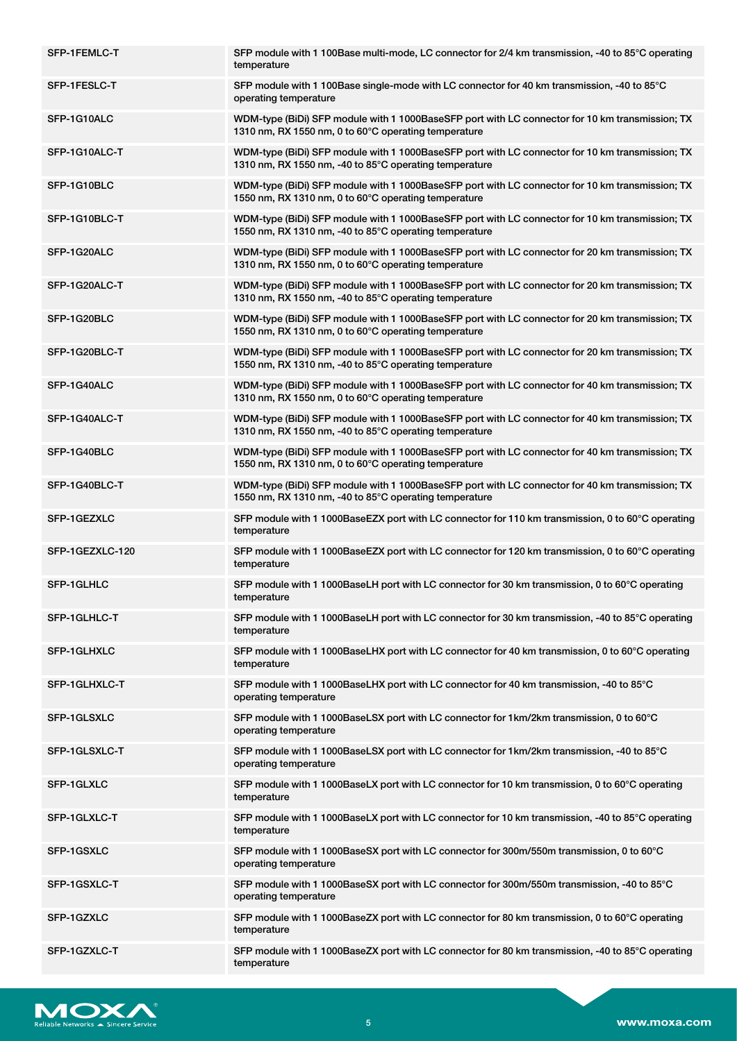| SFP-1FEMLC-T    | SFP module with 1 100Base multi-mode, LC connector for 2/4 km transmission, -40 to 85°C operating<br>temperature                                          |
|-----------------|-----------------------------------------------------------------------------------------------------------------------------------------------------------|
| SFP-1FESLC-T    | SFP module with 1 100Base single-mode with LC connector for 40 km transmission, -40 to 85°C<br>operating temperature                                      |
| SFP-1G10ALC     | WDM-type (BiDi) SFP module with 1 1000BaseSFP port with LC connector for 10 km transmission; TX<br>1310 nm, RX 1550 nm, 0 to 60°C operating temperature   |
| SFP-1G10ALC-T   | WDM-type (BiDi) SFP module with 1 1000BaseSFP port with LC connector for 10 km transmission; TX<br>1310 nm, RX 1550 nm, -40 to 85°C operating temperature |
| SFP-1G10BLC     | WDM-type (BiDi) SFP module with 1 1000BaseSFP port with LC connector for 10 km transmission; TX<br>1550 nm, RX 1310 nm, 0 to 60°C operating temperature   |
| SFP-1G10BLC-T   | WDM-type (BiDi) SFP module with 1 1000BaseSFP port with LC connector for 10 km transmission; TX<br>1550 nm, RX 1310 nm, -40 to 85°C operating temperature |
| SFP-1G20ALC     | WDM-type (BiDi) SFP module with 1 1000BaseSFP port with LC connector for 20 km transmission; TX<br>1310 nm, RX 1550 nm, 0 to 60°C operating temperature   |
| SFP-1G20ALC-T   | WDM-type (BiDi) SFP module with 1 1000BaseSFP port with LC connector for 20 km transmission; TX<br>1310 nm, RX 1550 nm, -40 to 85°C operating temperature |
| SFP-1G20BLC     | WDM-type (BiDi) SFP module with 1 1000BaseSFP port with LC connector for 20 km transmission; TX<br>1550 nm, RX 1310 nm, 0 to 60°C operating temperature   |
| SFP-1G20BLC-T   | WDM-type (BiDi) SFP module with 1 1000BaseSFP port with LC connector for 20 km transmission; TX<br>1550 nm, RX 1310 nm, -40 to 85°C operating temperature |
| SFP-1G40ALC     | WDM-type (BiDi) SFP module with 1 1000BaseSFP port with LC connector for 40 km transmission; TX<br>1310 nm, RX 1550 nm, 0 to 60°C operating temperature   |
| SFP-1G40ALC-T   | WDM-type (BiDi) SFP module with 1 1000BaseSFP port with LC connector for 40 km transmission; TX<br>1310 nm, RX 1550 nm, -40 to 85°C operating temperature |
| SFP-1G40BLC     | WDM-type (BiDi) SFP module with 1 1000BaseSFP port with LC connector for 40 km transmission; TX<br>1550 nm, RX 1310 nm, 0 to 60°C operating temperature   |
| SFP-1G40BLC-T   | WDM-type (BiDi) SFP module with 1 1000BaseSFP port with LC connector for 40 km transmission; TX<br>1550 nm, RX 1310 nm, -40 to 85°C operating temperature |
| SFP-1GEZXLC     | SFP module with 1 1000BaseEZX port with LC connector for 110 km transmission, 0 to 60°C operating<br>temperature                                          |
| SFP-1GEZXLC-120 | SFP module with 1 1000BaseEZX port with LC connector for 120 km transmission, 0 to 60°C operating<br>temperature                                          |
| SFP-1GLHLC      | SFP module with 1 1000BaseLH port with LC connector for 30 km transmission, 0 to 60°C operating<br>temperature                                            |
| SFP-1GLHLC-T    | SFP module with 1 1000BaseLH port with LC connector for 30 km transmission, -40 to 85°C operating<br>temperature                                          |
| SFP-1GLHXLC     | SFP module with 1 1000BaseLHX port with LC connector for 40 km transmission, 0 to 60°C operating<br>temperature                                           |
| SFP-1GLHXLC-T   | SFP module with 1 1000BaseLHX port with LC connector for 40 km transmission, -40 to 85°C<br>operating temperature                                         |
| SFP-1GLSXLC     | SFP module with 1 1000BaseLSX port with LC connector for 1km/2km transmission, 0 to 60°C<br>operating temperature                                         |
| SFP-1GLSXLC-T   | SFP module with 1 1000BaseLSX port with LC connector for 1km/2km transmission, -40 to 85°C<br>operating temperature                                       |
| SFP-1GLXLC      | SFP module with 1 1000BaseLX port with LC connector for 10 km transmission, 0 to 60°C operating<br>temperature                                            |
| SFP-1GLXLC-T    | SFP module with 1 1000BaseLX port with LC connector for 10 km transmission, -40 to 85°C operating<br>temperature                                          |
| SFP-1GSXLC      | SFP module with 1 1000BaseSX port with LC connector for 300m/550m transmission, 0 to 60°C<br>operating temperature                                        |
| SFP-1GSXLC-T    | SFP module with 1 1000BaseSX port with LC connector for 300m/550m transmission, -40 to 85°C<br>operating temperature                                      |
| SFP-1GZXLC      | SFP module with 1 1000BaseZX port with LC connector for 80 km transmission, 0 to 60°C operating<br>temperature                                            |
| SFP-1GZXLC-T    | SFP module with 1 1000BaseZX port with LC connector for 80 km transmission, -40 to 85 $\degree$ C operating<br>temperature                                |